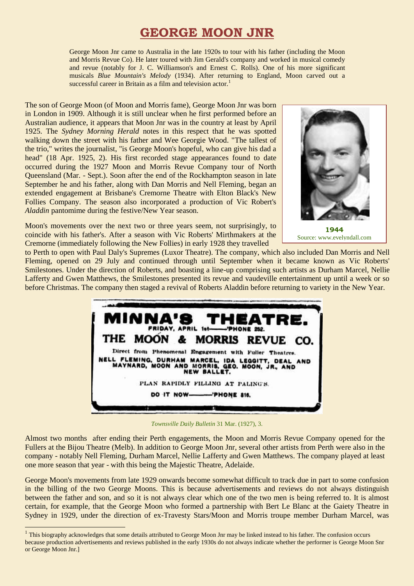## **GEORGE MOON JNR**

George Moon Jnr came to Australia in the late 1920s to tour with his father (including the Moon and Morris Revue Co). He later toured with Jim Gerald's company and worked in musical comedy and revue (notably for J. C. Williamson's and Ernest C. Rolls). One of his more significant musicals *Blue Mountain's Melody* (1934). After returning to England, Moon carved out a successful career in Britain as a film and television actor.<sup>1</sup>

The son of George Moon (of Moon and Morris fame), George Moon Jnr was born in London in 1909. Although it is still unclear when he first performed before an Australian audience, it appears that Moon Jnr was in the country at least by April 1925. The *Sydney Morning Herald* notes in this respect that he was spotted walking down the street with his father and Wee Georgie Wood. "The tallest of the trio," writes the journalist, "is George Moon's hopeful, who can give his dad a head" (18 Apr. 1925, 2). His first recorded stage appearances found to date occurred during the 1927 Moon and Morris Revue Company tour of North Queensland (Mar. - Sept.). Soon after the end of the Rockhampton season in late September he and his father, along with Dan Morris and Nell Fleming, began an extended engagement at Brisbane's Cremorne Theatre with Elton Black's New Follies Company. The season also incorporated a production of Vic Robert's *Aladdin* pantomime during the festive/New Year season.

Moon's movements over the next two or three years seem, not surprisingly, to coincide with his father's. After a season with Vic Roberts' Mirthmakers at the Cremorne (immediately following the New Follies) in early 1928 they travelled



**1944** Source: www.evelyndall.com

to Perth to open with Paul Daly's Supremes (Luxor Theatre). The company, which also included Dan Morris and Nell Fleming, opened on 29 July and continued through until September when it became known as Vic Roberts' Smilestones. Under the direction of Roberts, and boasting a line-up comprising such artists as Durham Marcel, Nellie Lafferty and Gwen Matthews, the Smilestones presented its revue and vaudeville entertainment up until a week or so before Christmas. The company then staged a revival of Roberts Aladdin before returning to variety in the New Year.



*Townsville Daily Bulletin* 31 Mar. (1927), 3.

Almost two months after ending their Perth engagements, the Moon and Morris Revue Company opened for the Fullers at the Bijou Theatre (Melb). In addition to George Moon Jnr, several other artists from Perth were also in the company - notably Nell Fleming, Durham Marcel, Nellie Lafferty and Gwen Matthews. The company played at least one more season that year - with this being the Majestic Theatre, Adelaide.

George Moon's movements from late 1929 onwards become somewhat difficult to track due in part to some confusion in the billing of the two George Moons. This is because advertisements and reviews do not always distinguish between the father and son, and so it is not always clear which one of the two men is being referred to. It is almost certain, for example, that the George Moon who formed a partnership with Bert Le Blanc at the Gaiety Theatre in Sydney in 1929, under the direction of ex-Travesty Stars/Moon and Morris troupe member Durham Marcel, was

1

<sup>&</sup>lt;sup>1</sup> This biography acknowledges that some details attributed to George Moon Jnr may be linked instead to his father. The confusion occurs because production advertisements and reviews published in the early 1930s do not always indicate whether the performer is George Moon Snr or George Moon Jnr.]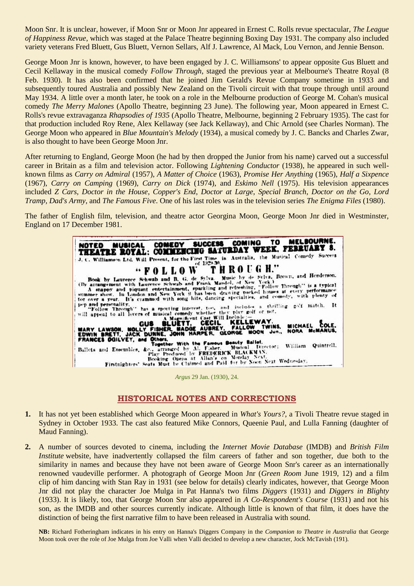Moon Snr. It is unclear, however, if Moon Snr or Moon Jnr appeared in Ernest C. Rolls revue spectacular, *The League of Happiness Revue*, which was staged at the Palace Theatre beginning Boxing Day 1931. The company also included variety veterans Fred Bluett, Gus Bluett, Vernon Sellars, Alf J. Lawrence, Al Mack, Lou Vernon, and Jennie Benson.

George Moon Jnr is known, however, to have been engaged by J. C. Williamsons' to appear opposite Gus Bluett and Cecil Kellaway in the musical comedy *Follow Through*, staged the previous year at Melbourne's Theatre Royal (8 Feb. 1930). It has also been confirmed that he joined Jim Gerald's Revue Company sometime in 1933 and subsequently toured Australia and possibly New Zealand on the Tivoli circuit with that troupe through until around May 1934. A little over a month later, he took on a role in the Melbourne production of George M. Cohan's musical comedy *The Merry Malones* (Apollo Theatre, beginning 23 June). The following year, Moon appeared in Ernest C. Rolls's revue extravaganza *Rhapsodies of 1935* (Apollo Theatre, Melbourne, beginning 2 February 1935). The cast for that production included Roy Rene, Alex Kellaway (see Jack Kellaway), and Chic Arnold (see Charles Norman). The George Moon who appeared in *Blue Mountain's Melody* (1934), a musical comedy by J. C. Bancks and Charles Zwar, is also thought to have been George Moon Jnr.

After returning to England, George Moon (he had by then dropped the Junior from his name) carved out a successful career in Britain as a film and television actor. Following *Lightening Conductor* (1938), he appeared in such wellknown films as *Carry on Admiral* (1957), *A Matter of Choice* (1963), *Promise Her Anything* (1965), *Half a Sixpence* (1967), *Carry on Camping* (1969), *Carry on Dick* (1974), and *Eskimo Nell* (1975). His television appearances included *Z Cars*, *Doctor in the House*, *Copper's End*, *Doctor at Large*, *Special Branch*, *Doctor on the Go*, *Lord Tramp, Dad's Army*, and *The Famous Five*. One of his last roles was in the television series *The Enigma Files* (1980).

The father of English film, television, and theatre actor Georgina Moon, George Moon Jnr died in Westminster, England on 17 December 1981.



*Argus* 29 Jan. (1930), 24.

## **HISTORICAL NOTES AND CORRECTIONS**

- **1.** It has not yet been established which George Moon appeared in *What's Yours?*, a Tivoli Theatre revue staged in Sydney in October 1933. The cast also featured Mike Connors, Queenie Paul, and Lulla Fanning (daughter of Maud Fanning).
- **2.** A number of sources devoted to cinema, including the *Internet Movie Database* (IMDB) and *British Film Institute* website, have inadvertently collapsed the film careers of father and son together, due both to the similarity in names and because they have not been aware of George Moon Snr's career as an internationally renowned vaudeville performer. A photograph of George Moon Jnr (*Green Room* June 1919, 12) and a film clip of him dancing with Stan Ray in 1931 (see below for details) clearly indicates, however, that George Moon Jnr did not play the character Joe Mulga in Pat Hanna's two films *Diggers* (1931) and *Diggers in Blighty* (1933). It is likely, too, that George Moon Snr also appeared in *A Co-Respondent's Course* (1931) and not his son, as the IMDB and other sources currently indicate. Although little is known of that film, it does have the distinction of being the first narrative film to have been released in Australia with sound.

**NB:** Richard Fotheringham indicates in his entry on Hanna's Diggers Company in the *Companion to Theatre in Australia* that George Moon took over the role of Joe Mulga from Joe Valli when Valli decided to develop a new character, Jock McTavish (191).